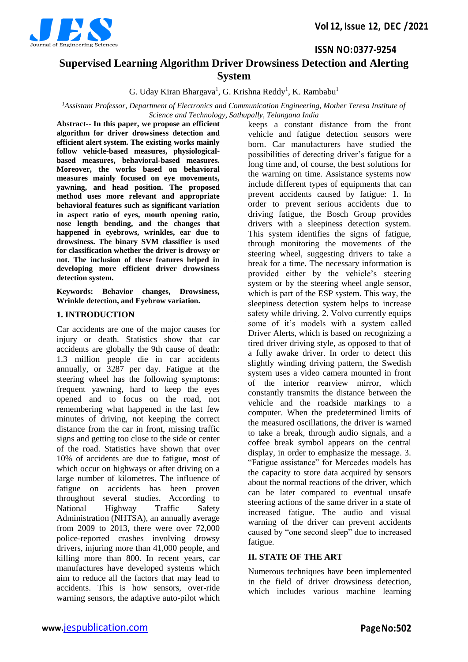

# **ISSN NO:0377-9254 Supervised Learning Algorithm Driver Drowsiness Detection and Alerting System**

#### G. Uday Kiran Bhargava<sup>1</sup>, G. Krishna Reddy<sup>1</sup>, K. Rambabu<sup>1</sup>

*<sup>1</sup>Assistant Professor, Department of Electronics and Communication Engineering, Mother Teresa Institute of Science and Technology, Sathupally, Telangana India*

**Abstract-- In this paper, we propose an efficient algorithm for driver drowsiness detection and efficient alert system. The existing works mainly follow vehicle-based measures, physiologicalbased measures, behavioral-based measures. Moreover, the works based on behavioral measures mainly focused on eye movements, yawning, and head position. The proposed method uses more relevant and appropriate behavioral features such as significant variation in aspect ratio of eyes, mouth opening ratio, nose length bending, and the changes that happened in eyebrows, wrinkles, ear due to drowsiness. The binary SVM classifier is used for classification whether the driver is drowsy or not. The inclusion of these features helped in developing more efficient driver drowsiness detection system.** 

**Keywords: Behavior changes, Drowsiness, Wrinkle detection, and Eyebrow variation.**

#### **1. INTRODUCTION**

Car accidents are one of the major causes for injury or death. Statistics show that car accidents are globally the 9th cause of death: 1.3 million people die in car accidents annually, or 3287 per day. Fatigue at the steering wheel has the following symptoms: frequent yawning, hard to keep the eyes opened and to focus on the road, not remembering what happened in the last few minutes of driving, not keeping the correct distance from the car in front, missing traffic signs and getting too close to the side or center of the road. Statistics have shown that over 10% of accidents are due to fatigue, most of which occur on highways or after driving on a large number of kilometres. The influence of fatigue on accidents has been proven throughout several studies. According to National Highway Traffic Safety Administration (NHTSA), an annually average from 2009 to 2013, there were over 72,000 police-reported crashes involving drowsy drivers, injuring more than 41,000 people, and killing more than 800. In recent years, car manufactures have developed systems which aim to reduce all the factors that may lead to accidents. This is how sensors, over-ride warning sensors, the adaptive auto-pilot which keeps a constant distance from the front vehicle and fatigue detection sensors were born. Car manufacturers have studied the possibilities of detecting driver's fatigue for a long time and, of course, the best solutions for the warning on time. Assistance systems now include different types of equipments that can prevent accidents caused by fatigue: 1. In order to prevent serious accidents due to driving fatigue, the Bosch Group provides drivers with a sleepiness detection system. This system identifies the signs of fatigue, through monitoring the movements of the steering wheel, suggesting drivers to take a break for a time. The necessary information is provided either by the vehicle's steering system or by the steering wheel angle sensor, which is part of the ESP system. This way, the sleepiness detection system helps to increase safety while driving. 2. Volvo currently equips some of it's models with a system called Driver Alerts, which is based on recognizing a tired driver driving style, as opposed to that of a fully awake driver. In order to detect this slightly winding driving pattern, the Swedish system uses a video camera mounted in front of the interior rearview mirror, which constantly transmits the distance between the vehicle and the roadside markings to a computer. When the predetermined limits of the measured oscillations, the driver is warned to take a break, through audio signals, and a coffee break symbol appears on the central display, in order to emphasize the message. 3. "Fatigue assistance" for Mercedes models has the capacity to store data acquired by sensors about the normal reactions of the driver, which can be later compared to eventual unsafe steering actions of the same driver in a state of increased fatigue. The audio and visual warning of the driver can prevent accidents caused by "one second sleep" due to increased fatigue.

### **II. STATE OF THE ART**

Numerous techniques have been implemented in the field of driver drowsiness detection, which includes various machine learning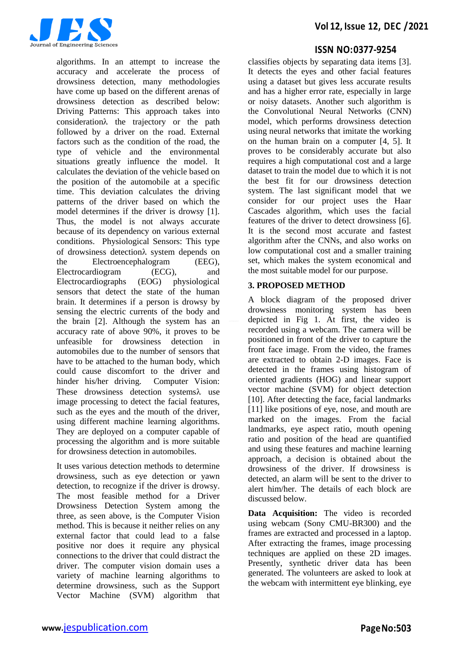

algorithms. In an attempt to increase the accuracy and accelerate the process of drowsiness detection, many methodologies have come up based on the different arenas of drowsiness detection as described below: Driving Patterns: This approach takes into  $consideration \lambda$  the trajectory or the path followed by a driver on the road. External factors such as the condition of the road, the type of vehicle and the environmental situations greatly influence the model. It calculates the deviation of the vehicle based on the position of the automobile at a specific time. This deviation calculates the driving patterns of the driver based on which the model determines if the driver is drowsy [1]. Thus, the model is not always accurate because of its dependency on various external conditions. Physiological Sensors: This type of drowsiness detection $\lambda$  system depends on the Electroencephalogram (EEG), Electrocardiogram (ECG), and Electrocardiographs (EOG) physiological sensors that detect the state of the human brain. It determines if a person is drowsy by sensing the electric currents of the body and the brain [2]. Although the system has an accuracy rate of above 90%, it proves to be unfeasible for drowsiness detection in automobiles due to the number of sensors that have to be attached to the human body, which could cause discomfort to the driver and hinder his/her driving. Computer Vision: These drowsiness detection systems $\lambda$  use image processing to detect the facial features, such as the eyes and the mouth of the driver, using different machine learning algorithms. They are deployed on a computer capable of processing the algorithm and is more suitable for drowsiness detection in automobiles.

It uses various detection methods to determine drowsiness, such as eye detection or yawn detection, to recognize if the driver is drowsy. The most feasible method for a Driver Drowsiness Detection System among the three, as seen above, is the Computer Vision method. This is because it neither relies on any external factor that could lead to a false positive nor does it require any physical connections to the driver that could distract the driver. The computer vision domain uses a variety of machine learning algorithms to determine drowsiness, such as the Support Vector Machine (SVM) algorithm that

## **ISSN NO:0377-9254**

classifies objects by separating data items [3]. It detects the eyes and other facial features using a dataset but gives less accurate results and has a higher error rate, especially in large or noisy datasets. Another such algorithm is the Convolutional Neural Networks (CNN) model, which performs drowsiness detection using neural networks that imitate the working on the human brain on a computer [4, 5]. It proves to be considerably accurate but also requires a high computational cost and a large dataset to train the model due to which it is not the best fit for our drowsiness detection system. The last significant model that we consider for our project uses the Haar Cascades algorithm, which uses the facial features of the driver to detect drowsiness [6]. It is the second most accurate and fastest algorithm after the CNNs, and also works on low computational cost and a smaller training set, which makes the system economical and the most suitable model for our purpose.

### **3. PROPOSED METHOD**

A block diagram of the proposed driver drowsiness monitoring system has been depicted in Fig 1. At first, the video is recorded using a webcam. The camera will be positioned in front of the driver to capture the front face image. From the video, the frames are extracted to obtain 2-D images. Face is detected in the frames using histogram of oriented gradients (HOG) and linear support vector machine (SVM) for object detection [10]. After detecting the face, facial landmarks [11] like positions of eye, nose, and mouth are marked on the images. From the facial landmarks, eye aspect ratio, mouth opening ratio and position of the head are quantified and using these features and machine learning approach, a decision is obtained about the drowsiness of the driver. If drowsiness is detected, an alarm will be sent to the driver to alert him/her. The details of each block are discussed below.

**Data Acquisition:** The video is recorded using webcam (Sony CMU-BR300) and the frames are extracted and processed in a laptop. After extracting the frames, image processing techniques are applied on these 2D images. Presently, synthetic driver data has been generated. The volunteers are asked to look at the webcam with intermittent eye blinking, eye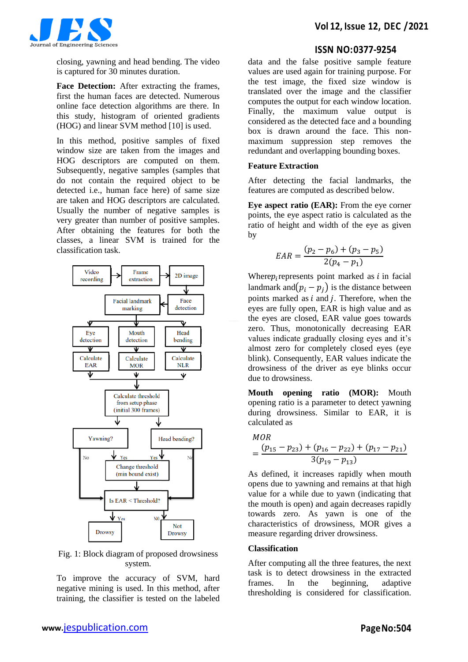

closing, yawning and head bending. The video is captured for 30 minutes duration.

**Face Detection:** After extracting the frames, first the human faces are detected. Numerous online face detection algorithms are there. In this study, histogram of oriented gradients (HOG) and linear SVM method [10] is used.

In this method, positive samples of fixed window size are taken from the images and HOG descriptors are computed on them. Subsequently, negative samples (samples that do not contain the required object to be detected i.e., human face here) of same size are taken and HOG descriptors are calculated. Usually the number of negative samples is very greater than number of positive samples. After obtaining the features for both the classes, a linear SVM is trained for the classification task.



Fig. 1: Block diagram of proposed drowsiness system.

To improve the accuracy of SVM, hard negative mining is used. In this method, after training, the classifier is tested on the labeled

## **ISSN NO:0377-9254**

data and the false positive sample feature values are used again for training purpose. For the test image, the fixed size window is translated over the image and the classifier computes the output for each window location. Finally, the maximum value output is considered as the detected face and a bounding box is drawn around the face. This nonmaximum suppression step removes the redundant and overlapping bounding boxes.

#### **Feature Extraction**

After detecting the facial landmarks, the features are computed as described below.

**Eye aspect ratio (EAR):** From the eye corner points, the eye aspect ratio is calculated as the ratio of height and width of the eye as given by

$$
EAR = \frac{(p_2 - p_6) + (p_3 - p_5)}{2(p_4 - p_1)}
$$

Where $p_i$  represents point marked as  $i$  in facial landmark and  $(p_i - p_i)$  is the distance between points marked as  $i$  and  $j$ . Therefore, when the eyes are fully open, EAR is high value and as the eyes are closed, EAR value goes towards zero. Thus, monotonically decreasing EAR values indicate gradually closing eyes and it's almost zero for completely closed eyes (eye blink). Consequently, EAR values indicate the drowsiness of the driver as eye blinks occur due to drowsiness.

**Mouth opening ratio (MOR):** Mouth opening ratio is a parameter to detect yawning during drowsiness. Similar to EAR, it is calculated as

$$
MOR = \frac{(p_{15} - p_{23}) + (p_{16} - p_{22}) + (p_{17} - p_{21})}{3(p_{19} - p_{13})}
$$

As defined, it increases rapidly when mouth opens due to yawning and remains at that high value for a while due to yawn (indicating that the mouth is open) and again decreases rapidly towards zero. As yawn is one of the characteristics of drowsiness, MOR gives a measure regarding driver drowsiness.

### **Classification**

After computing all the three features, the next task is to detect drowsiness in the extracted frames. In the beginning, adaptive thresholding is considered for classification.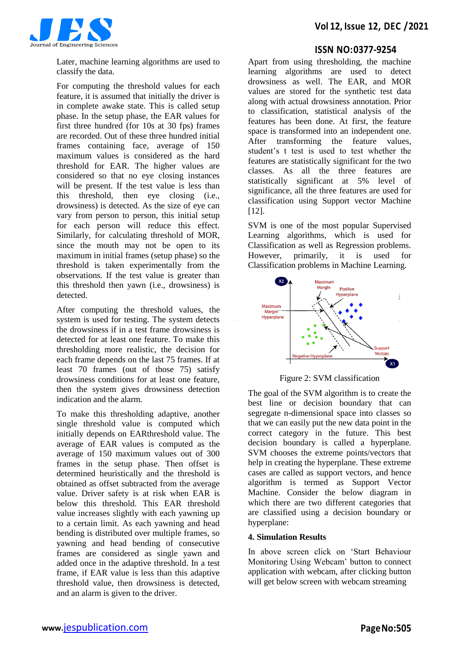

Later, machine learning algorithms are used to classify the data.

For computing the threshold values for each feature, it is assumed that initially the driver is in complete awake state. This is called setup phase. In the setup phase, the EAR values for first three hundred (for 10s at 30 fps) frames are recorded. Out of these three hundred initial frames containing face, average of 150 maximum values is considered as the hard threshold for EAR. The higher values are considered so that no eye closing instances will be present. If the test value is less than this threshold, then eye closing (i.e., drowsiness) is detected. As the size of eye can vary from person to person, this initial setup for each person will reduce this effect. Similarly, for calculating threshold of MOR, since the mouth may not be open to its maximum in initial frames (setup phase) so the threshold is taken experimentally from the observations. If the test value is greater than this threshold then yawn (i.e., drowsiness) is detected.

After computing the threshold values, the system is used for testing. The system detects the drowsiness if in a test frame drowsiness is detected for at least one feature. To make this thresholding more realistic, the decision for each frame depends on the last 75 frames. If at least 70 frames (out of those 75) satisfy drowsiness conditions for at least one feature, then the system gives drowsiness detection indication and the alarm.

To make this thresholding adaptive, another single threshold value is computed which initially depends on EARthreshold value. The average of EAR values is computed as the average of 150 maximum values out of 300 frames in the setup phase. Then offset is determined heuristically and the threshold is obtained as offset subtracted from the average value. Driver safety is at risk when EAR is below this threshold. This EAR threshold value increases slightly with each yawning up to a certain limit. As each yawning and head bending is distributed over multiple frames, so yawning and head bending of consecutive frames are considered as single yawn and added once in the adaptive threshold. In a test frame, if EAR value is less than this adaptive threshold value, then drowsiness is detected, and an alarm is given to the driver.

## **ISSN NO:0377-9254**

Apart from using thresholding, the machine learning algorithms are used to detect drowsiness as well. The EAR, and MOR values are stored for the synthetic test data along with actual drowsiness annotation. Prior to classification, statistical analysis of the features has been done. At first, the feature space is transformed into an independent one. After transforming the feature values, student's t test is used to test whether the features are statistically significant for the two classes. As all the three features are statistically significant at 5% level of significance, all the three features are used for classification using Support vector Machine [12].

SVM is one of the most popular Supervised Learning algorithms, which is used for Classification as well as Regression problems. However, primarily, it is used for Classification problems in Machine Learning.



Figure 2: SVM classification

The goal of the SVM algorithm is to create the best line or decision boundary that can segregate n-dimensional space into classes so that we can easily put the new data point in the correct category in the future. This best decision boundary is called a hyperplane. SVM chooses the extreme points/vectors that help in creating the hyperplane. These extreme cases are called as support vectors, and hence algorithm is termed as Support Vector Machine. Consider the below diagram in which there are two different categories that are classified using a decision boundary or hyperplane:

### **4. Simulation Results**

In above screen click on 'Start Behaviour Monitoring Using Webcam' button to connect application with webcam, after clicking button will get below screen with webcam streaming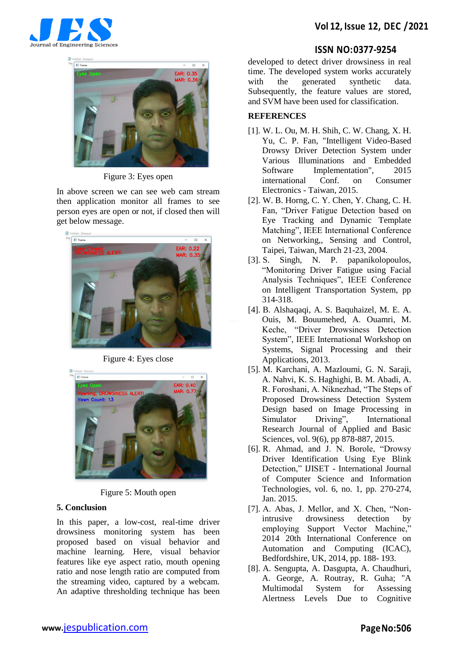



Figure 3: Eyes open

In above screen we can see web cam stream then application monitor all frames to see person eyes are open or not, if closed then will get below message.



Figure 4: Eyes close



Figure 5: Mouth open

### **5. Conclusion**

In this paper, a low-cost, real-time driver drowsiness monitoring system has been proposed based on visual behavior and machine learning. Here, visual behavior features like eye aspect ratio, mouth opening ratio and nose length ratio are computed from the streaming video, captured by a webcam. An adaptive thresholding technique has been

# **ISSN NO:0377-9254**

developed to detect driver drowsiness in real time. The developed system works accurately with the generated synthetic data. Subsequently, the feature values are stored, and SVM have been used for classification.

### **REFERENCES**

- [1]. W. L. Ou, M. H. Shih, C. W. Chang, X. H. Yu, C. P. Fan, "Intelligent Video-Based Drowsy Driver Detection System under Various Illuminations and Embedded Software Implementation", 2015 international Conf. on Consumer Electronics - Taiwan, 2015.
- [2]. W. B. Horng, C. Y. Chen, Y. Chang, C. H. Fan, "Driver Fatigue Detection based on Eye Tracking and Dynamic Template Matching", IEEE International Conference on Networking,, Sensing and Control, Taipei, Taiwan, March 21-23, 2004.
- [3]. S. Singh, N. P. papanikolopoulos, "Monitoring Driver Fatigue using Facial Analysis Techniques", IEEE Conference on Intelligent Transportation System, pp 314-318.
- [4]. B. Alshaqaqi, A. S. Baquhaizel, M. E. A. Ouis, M. Bouumehed, A. Ouamri, M. Keche, "Driver Drowsiness Detection System", IEEE International Workshop on Systems, Signal Processing and their Applications, 2013.
- [5]. M. Karchani, A. Mazloumi, G. N. Saraji, A. Nahvi, K. S. Haghighi, B. M. Abadi, A. R. Foroshani, A. Niknezhad, "The Steps of Proposed Drowsiness Detection System Design based on Image Processing in Simulator Driving", International Research Journal of Applied and Basic Sciences, vol. 9(6), pp 878-887, 2015.
- [6]. R. Ahmad, and J. N. Borole, "Drowsy Driver Identification Using Eye Blink Detection," IJISET - International Journal of Computer Science and Information Technologies, vol. 6, no. 1, pp. 270-274, Jan. 2015.
- [7]. A. Abas, J. Mellor, and X. Chen, "Nonintrusive drowsiness detection by employing Support Vector Machine," 2014 20th International Conference on Automation and Computing (ICAC), Bedfordshire, UK, 2014, pp. 188- 193.
- [8]. A. Sengupta, A. Dasgupta, A. Chaudhuri, A. George, A. Routray, R. Guha; "A Multimodal System for Assessing Alertness Levels Due to Cognitive